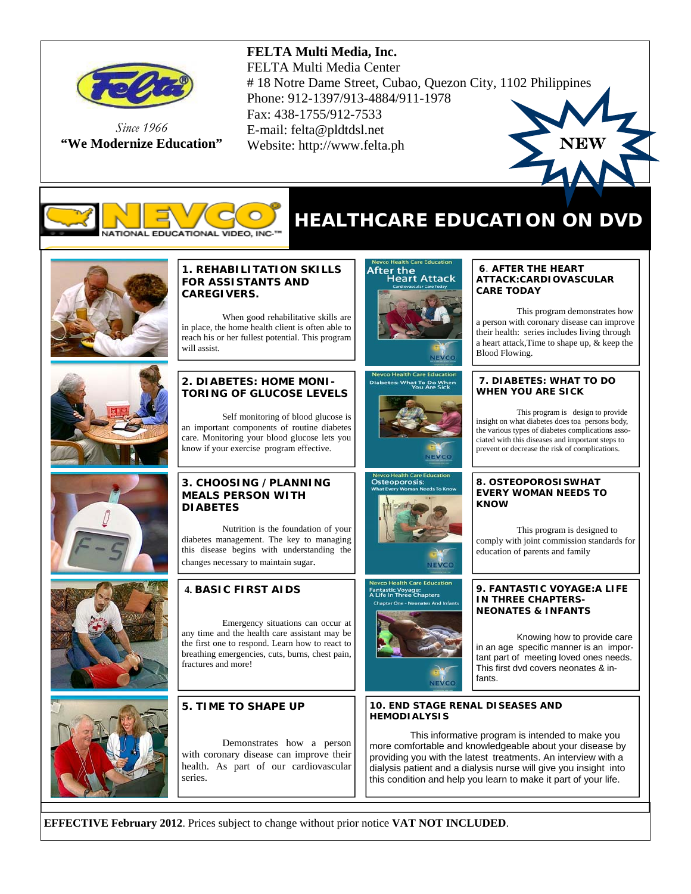

*Since 1966*  **"We Modernize Education"** 

### **FELTA Multi Media, Inc.**

FELTA Multi Media Center # 18 Notre Dame Street, Cubao, Quezon City, 1102 Philippines Phone: 912-1397/913-4884/911-1978 Fax: 438-1755/912-7533 E-mail: felta@pldtdsl.net Website: http://www.felta.ph





## **HEALTHCARE EDUCATION ON DVD**



#### **1. REHABILITATION SKILLS FOR ASSISTANTS AND CAREGIVERS.**

 When good rehabilitative skills are in place, the home health client is often able to reach his or her fullest potential. This program will assist.

#### **2. DIABETES: HOME MONI-TORING OF GLUCOSE LEVELS**

 Self monitoring of blood glucose is an important components of routine diabetes care. Monitoring your blood glucose lets you know if your exercise program effective.

#### **3. CHOOSING /PLANNING MEALS PERSON WITH DIABETES**

 Nutrition is the foundation of your diabetes management. The key to managing this disease begins with understanding the changes necessary to maintain sugar.

## **4. BASIC FIRST AIDS**

 Emergency situations can occur at any time and the health care assistant may be the first one to respond. Learn how to react to breathing emergencies, cuts, burns, chest pain, fractures and more!



#### **5. TIME TO SHAPE UP**

Demonstrates how a person with coronary disease can improve their health. As part of our cardiovascular series.



: What To Do Whe





**Health Care Edu** intastic Voyage:<br>Life In Three Chapters

#### **6**. **AFTER THE HEART ATTACK:CARDIOVASCULAR CARE TODAY**

 This program demonstrates how a person with coronary disease can improve their health: series includes living through a heart attack,Time to shape up, & keep the Blood Flowing.

#### **7. DIABETES: WHAT TO DO WHEN YOU ARE SICK**

 This program is design to provide insight on what diabetes does toa persons body, the various types of diabetes complications associated with this diseases and important steps to prevent or decrease the risk of complications.

#### **8. OSTEOPOROSISWHAT EVERY WOMAN NEEDS TO KNOW**

This program is designed to comply with joint commission standards for education of parents and family

#### **9. FANTASTIC VOYAGE:A LIFE IN THREE CHAPTERS-NEONATES & INFANTS**

 Knowing how to provide care in an age specific manner is an important part of meeting loved ones needs. This first dvd covers neonates & infants.

#### **10. END STAGE RENAL DISEASES AND HEMODIALYSIS**

This informative program is intended to make you more comfortable and knowledgeable about your disease by providing you with the latest treatments. An interview with a dialysis patient and a dialysis nurse will give you insight into this condition and help you learn to make it part of your life.

**EFFECTIVE February 2012**. Prices subject to change without prior notice **VAT NOT INCLUDED**.